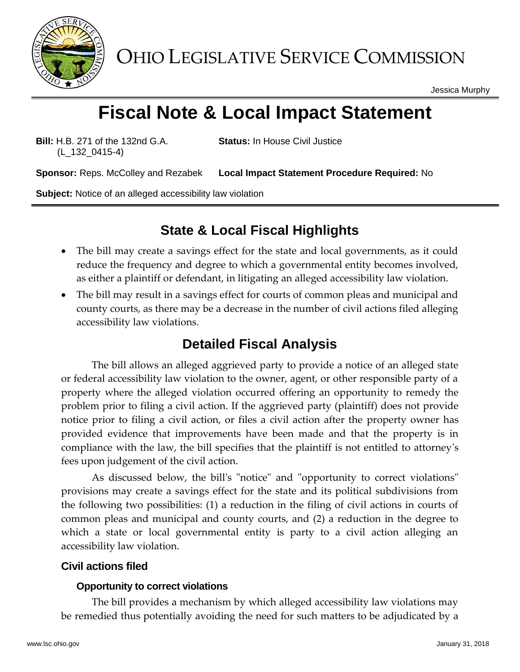

OHIO LEGISLATIVE SERVICE COMMISSION

Jessica Murphy

# **Fiscal Note & Local Impact Statement**

**Bill:** H.B. 271 of the 132nd G.A. (L\_132\_0415-4)

**Status:** In House Civil Justice

**Sponsor:** Reps. McColley and Rezabek **Local Impact Statement Procedure Required:** No

**Subject:** Notice of an alleged accessibility law violation

# **State & Local Fiscal Highlights**

- The bill may create a savings effect for the state and local governments, as it could reduce the frequency and degree to which a governmental entity becomes involved, as either a plaintiff or defendant, in litigating an alleged accessibility law violation.
- The bill may result in a savings effect for courts of common pleas and municipal and county courts, as there may be a decrease in the number of civil actions filed alleging accessibility law violations.

# **Detailed Fiscal Analysis**

The bill allows an alleged aggrieved party to provide a notice of an alleged state or federal accessibility law violation to the owner, agent, or other responsible party of a property where the alleged violation occurred offering an opportunity to remedy the problem prior to filing a civil action. If the aggrieved party (plaintiff) does not provide notice prior to filing a civil action, or files a civil action after the property owner has provided evidence that improvements have been made and that the property is in compliance with the law, the bill specifies that the plaintiff is not entitled to attorney's fees upon judgement of the civil action.

As discussed below, the bill's "notice" and "opportunity to correct violations" provisions may create a savings effect for the state and its political subdivisions from the following two possibilities: (1) a reduction in the filing of civil actions in courts of common pleas and municipal and county courts, and (2) a reduction in the degree to which a state or local governmental entity is party to a civil action alleging an accessibility law violation.

## **Civil actions filed**

#### **Opportunity to correct violations**

The bill provides a mechanism by which alleged accessibility law violations may be remedied thus potentially avoiding the need for such matters to be adjudicated by a